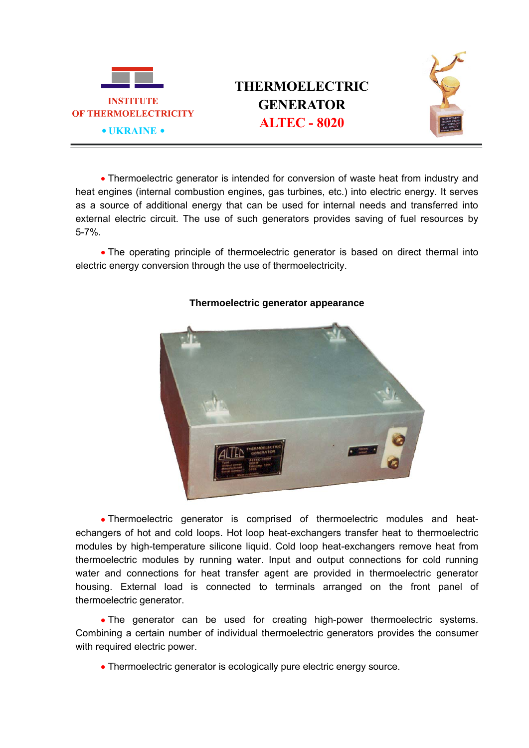

## **THERMOELECTRIC GENERATOR**



• Thermoelectric generator is intended for conversion of waste heat from industry and heat engines (internal combustion engines, gas turbines, etc.) into electric energy. It serves as a source of additional energy that can be used for internal needs and transferred into external electric circuit. The use of such generators provides saving of fuel resources by 5-7%.

• The operating principle of thermoelectric generator is based on direct thermal into electric energy conversion through the use of thermoelectricity.



## **Thermoelectric generator appearance**

 Thermoelectric generator is comprised of thermoelectric modules and heatechangers of hot and cold loops. Hot loop heat-exchangers transfer heat to thermoelectric modules by high-temperature silicone liquid. Cold loop heat-exchangers remove heat from thermoelectric modules by running water. Input and output connections for cold running water and connections for heat transfer agent are provided in thermoelectric generator housing. External load is connected to terminals arranged on the front panel of thermoelectric generator.

 The generator can be used for creating high-power thermoelectric systems. Combining a certain number of individual thermoelectric generators provides the consumer with required electric power.

Thermoelectric generator is ecologically pure electric energy source.